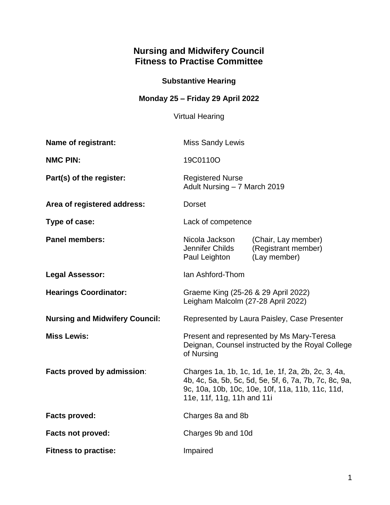# **Nursing and Midwifery Council Fitness to Practise Committee**

# **Substantive Hearing**

**Monday 25 – Friday 29 April 2022**

Virtual Hearing

| Name of registrant:                   | <b>Miss Sandy Lewis</b>                                                                                                                                                                        |                                                            |
|---------------------------------------|------------------------------------------------------------------------------------------------------------------------------------------------------------------------------------------------|------------------------------------------------------------|
| <b>NMC PIN:</b>                       | 19C0110O                                                                                                                                                                                       |                                                            |
| Part(s) of the register:              | <b>Registered Nurse</b><br>Adult Nursing - 7 March 2019                                                                                                                                        |                                                            |
| Area of registered address:           | <b>Dorset</b>                                                                                                                                                                                  |                                                            |
| Type of case:                         | Lack of competence                                                                                                                                                                             |                                                            |
| <b>Panel members:</b>                 | Nicola Jackson<br>Jennifer Childs<br>Paul Leighton                                                                                                                                             | (Chair, Lay member)<br>(Registrant member)<br>(Lay member) |
| <b>Legal Assessor:</b>                | Ian Ashford-Thom                                                                                                                                                                               |                                                            |
| <b>Hearings Coordinator:</b>          | Graeme King (25-26 & 29 April 2022)<br>Leigham Malcolm (27-28 April 2022)                                                                                                                      |                                                            |
| <b>Nursing and Midwifery Council:</b> | Represented by Laura Paisley, Case Presenter                                                                                                                                                   |                                                            |
| <b>Miss Lewis:</b>                    | Present and represented by Ms Mary-Teresa<br>Deignan, Counsel instructed by the Royal College<br>of Nursing                                                                                    |                                                            |
| Facts proved by admission:            | Charges 1a, 1b, 1c, 1d, 1e, 1f, 2a, 2b, 2c, 3, 4a,<br>4b, 4c, 5a, 5b, 5c, 5d, 5e, 5f, 6, 7a, 7b, 7c, 8c, 9a,<br>9c, 10a, 10b, 10c, 10e, 10f, 11a, 11b, 11c, 11d,<br>11e, 11f, 11g, 11h and 11i |                                                            |
| <b>Facts proved:</b>                  | Charges 8a and 8b                                                                                                                                                                              |                                                            |
| <b>Facts not proved:</b>              | Charges 9b and 10d                                                                                                                                                                             |                                                            |
| <b>Fitness to practise:</b>           | Impaired                                                                                                                                                                                       |                                                            |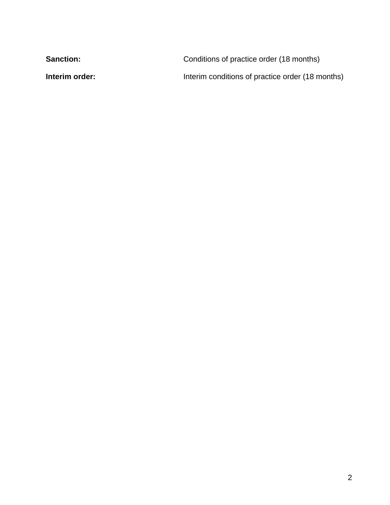| <b>Sanction:</b> | Conditions of practice order (18 months)         |
|------------------|--------------------------------------------------|
| Interim order:   | Interim conditions of practice order (18 months) |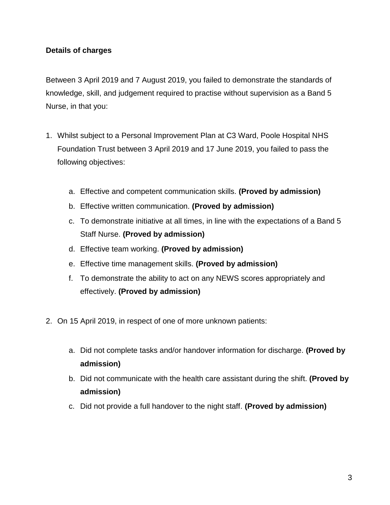## **Details of charges**

Between 3 April 2019 and 7 August 2019, you failed to demonstrate the standards of knowledge, skill, and judgement required to practise without supervision as a Band 5 Nurse, in that you:

- 1. Whilst subject to a Personal Improvement Plan at C3 Ward, Poole Hospital NHS Foundation Trust between 3 April 2019 and 17 June 2019, you failed to pass the following objectives:
	- a. Effective and competent communication skills. **(Proved by admission)**
	- b. Effective written communication. **(Proved by admission)**
	- c. To demonstrate initiative at all times, in line with the expectations of a Band 5 Staff Nurse. **(Proved by admission)**
	- d. Effective team working. **(Proved by admission)**
	- e. Effective time management skills. **(Proved by admission)**
	- f. To demonstrate the ability to act on any NEWS scores appropriately and effectively. **(Proved by admission)**
- 2. On 15 April 2019, in respect of one of more unknown patients:
	- a. Did not complete tasks and/or handover information for discharge. **(Proved by admission)**
	- b. Did not communicate with the health care assistant during the shift. **(Proved by admission)**
	- c. Did not provide a full handover to the night staff. **(Proved by admission)**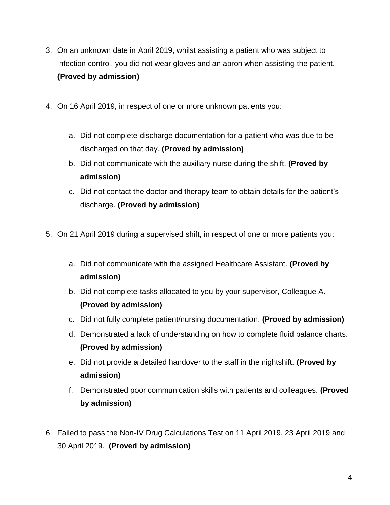- 3. On an unknown date in April 2019, whilst assisting a patient who was subject to infection control, you did not wear gloves and an apron when assisting the patient. **(Proved by admission)**
- 4. On 16 April 2019, in respect of one or more unknown patients you:
	- a. Did not complete discharge documentation for a patient who was due to be discharged on that day. **(Proved by admission)**
	- b. Did not communicate with the auxiliary nurse during the shift. **(Proved by admission)**
	- c. Did not contact the doctor and therapy team to obtain details for the patient's discharge. **(Proved by admission)**
- 5. On 21 April 2019 during a supervised shift, in respect of one or more patients you:
	- a. Did not communicate with the assigned Healthcare Assistant. **(Proved by admission)**
	- b. Did not complete tasks allocated to you by your supervisor, Colleague A. **(Proved by admission)**
	- c. Did not fully complete patient/nursing documentation. **(Proved by admission)**
	- d. Demonstrated a lack of understanding on how to complete fluid balance charts. **(Proved by admission)**
	- e. Did not provide a detailed handover to the staff in the nightshift. **(Proved by admission)**
	- f. Demonstrated poor communication skills with patients and colleagues. **(Proved by admission)**
- 6. Failed to pass the Non-IV Drug Calculations Test on 11 April 2019, 23 April 2019 and 30 April 2019. **(Proved by admission)**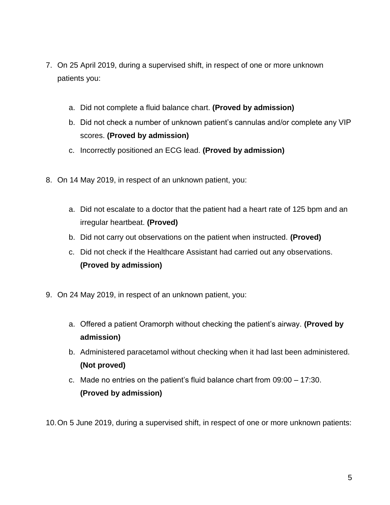- 7. On 25 April 2019, during a supervised shift, in respect of one or more unknown patients you:
	- a. Did not complete a fluid balance chart. **(Proved by admission)**
	- b. Did not check a number of unknown patient's cannulas and/or complete any VIP scores. **(Proved by admission)**
	- c. Incorrectly positioned an ECG lead. **(Proved by admission)**
- 8. On 14 May 2019, in respect of an unknown patient, you:
	- a. Did not escalate to a doctor that the patient had a heart rate of 125 bpm and an irregular heartbeat. **(Proved)**
	- b. Did not carry out observations on the patient when instructed. **(Proved)**
	- c. Did not check if the Healthcare Assistant had carried out any observations. **(Proved by admission)**
- 9. On 24 May 2019, in respect of an unknown patient, you:
	- a. Offered a patient Oramorph without checking the patient's airway. **(Proved by admission)**
	- b. Administered paracetamol without checking when it had last been administered. **(Not proved)**
	- c. Made no entries on the patient's fluid balance chart from 09:00 17:30. **(Proved by admission)**

10.On 5 June 2019, during a supervised shift, in respect of one or more unknown patients: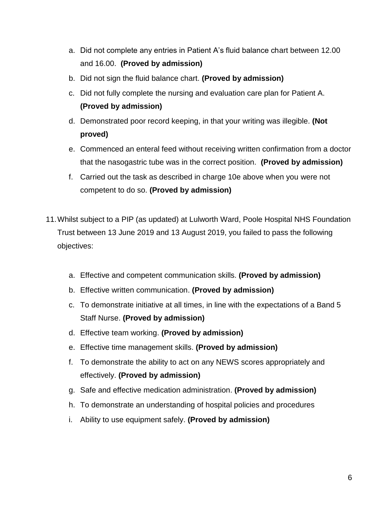- a. Did not complete any entries in Patient A's fluid balance chart between 12.00 and 16.00. **(Proved by admission)**
- b. Did not sign the fluid balance chart. **(Proved by admission)**
- c. Did not fully complete the nursing and evaluation care plan for Patient A. **(Proved by admission)**
- d. Demonstrated poor record keeping, in that your writing was illegible. **(Not proved)**
- e. Commenced an enteral feed without receiving written confirmation from a doctor that the nasogastric tube was in the correct position. **(Proved by admission)**
- f. Carried out the task as described in charge 10e above when you were not competent to do so. **(Proved by admission)**
- 11.Whilst subject to a PIP (as updated) at Lulworth Ward, Poole Hospital NHS Foundation Trust between 13 June 2019 and 13 August 2019, you failed to pass the following objectives:
	- a. Effective and competent communication skills. **(Proved by admission)**
	- b. Effective written communication. **(Proved by admission)**
	- c. To demonstrate initiative at all times, in line with the expectations of a Band 5 Staff Nurse. **(Proved by admission)**
	- d. Effective team working. **(Proved by admission)**
	- e. Effective time management skills. **(Proved by admission)**
	- f. To demonstrate the ability to act on any NEWS scores appropriately and effectively. **(Proved by admission)**
	- g. Safe and effective medication administration. **(Proved by admission)**
	- h. To demonstrate an understanding of hospital policies and procedures
	- i. Ability to use equipment safely. **(Proved by admission)**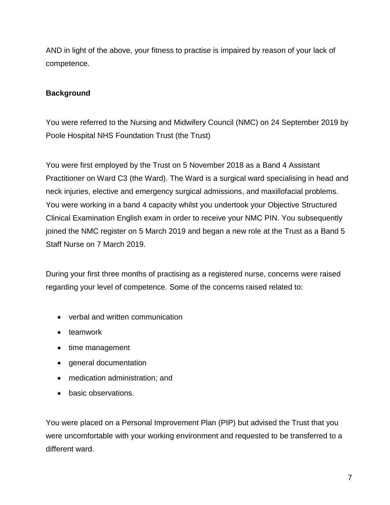AND in light of the above, your fitness to practise is impaired by reason of your lack of competence.

## **Background**

You were referred to the Nursing and Midwifery Council (NMC) on 24 September 2019 by Poole Hospital NHS Foundation Trust (the Trust)

You were first employed by the Trust on 5 November 2018 as a Band 4 Assistant Practitioner on Ward C3 (the Ward). The Ward is a surgical ward specialising in head and neck injuries, elective and emergency surgical admissions, and maxillofacial problems. You were working in a band 4 capacity whilst you undertook your Objective Structured Clinical Examination English exam in order to receive your NMC PIN. You subsequently joined the NMC register on 5 March 2019 and began a new role at the Trust as a Band 5 Staff Nurse on 7 March 2019.

During your first three months of practising as a registered nurse, concerns were raised regarding your level of competence. Some of the concerns raised related to:

- verbal and written communication
- teamwork
- time management
- general documentation
- medication administration; and
- basic observations.

You were placed on a Personal Improvement Plan (PIP) but advised the Trust that you were uncomfortable with your working environment and requested to be transferred to a different ward.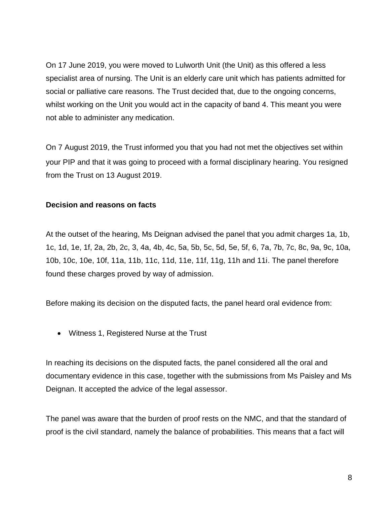On 17 June 2019, you were moved to Lulworth Unit (the Unit) as this offered a less specialist area of nursing. The Unit is an elderly care unit which has patients admitted for social or palliative care reasons. The Trust decided that, due to the ongoing concerns, whilst working on the Unit you would act in the capacity of band 4. This meant you were not able to administer any medication.

On 7 August 2019, the Trust informed you that you had not met the objectives set within your PIP and that it was going to proceed with a formal disciplinary hearing. You resigned from the Trust on 13 August 2019.

### **Decision and reasons on facts**

At the outset of the hearing, Ms Deignan advised the panel that you admit charges 1a, 1b, 1c, 1d, 1e, 1f, 2a, 2b, 2c, 3, 4a, 4b, 4c, 5a, 5b, 5c, 5d, 5e, 5f, 6, 7a, 7b, 7c, 8c, 9a, 9c, 10a, 10b, 10c, 10e, 10f, 11a, 11b, 11c, 11d, 11e, 11f, 11g, 11h and 11i. The panel therefore found these charges proved by way of admission.

Before making its decision on the disputed facts, the panel heard oral evidence from:

Witness 1, Registered Nurse at the Trust

In reaching its decisions on the disputed facts, the panel considered all the oral and documentary evidence in this case, together with the submissions from Ms Paisley and Ms Deignan. It accepted the advice of the legal assessor.

The panel was aware that the burden of proof rests on the NMC, and that the standard of proof is the civil standard, namely the balance of probabilities. This means that a fact will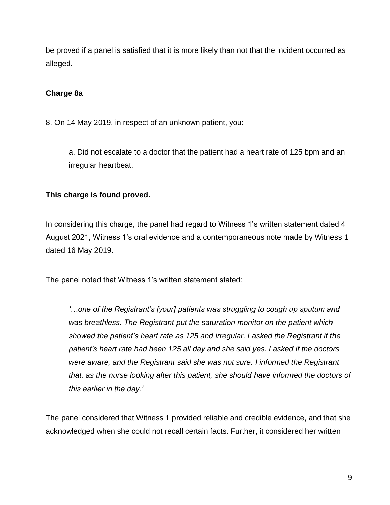be proved if a panel is satisfied that it is more likely than not that the incident occurred as alleged.

## **Charge 8a**

8. On 14 May 2019, in respect of an unknown patient, you:

a. Did not escalate to a doctor that the patient had a heart rate of 125 bpm and an irregular heartbeat.

### **This charge is found proved.**

In considering this charge, the panel had regard to Witness 1's written statement dated 4 August 2021, Witness 1's oral evidence and a contemporaneous note made by Witness 1 dated 16 May 2019.

The panel noted that Witness 1's written statement stated:

*'…one of the Registrant's [your] patients was struggling to cough up sputum and was breathless. The Registrant put the saturation monitor on the patient which showed the patient's heart rate as 125 and irregular. I asked the Registrant if the patient's heart rate had been 125 all day and she said yes. I asked if the doctors were aware, and the Registrant said she was not sure. I informed the Registrant that, as the nurse looking after this patient, she should have informed the doctors of this earlier in the day.'*

The panel considered that Witness 1 provided reliable and credible evidence, and that she acknowledged when she could not recall certain facts. Further, it considered her written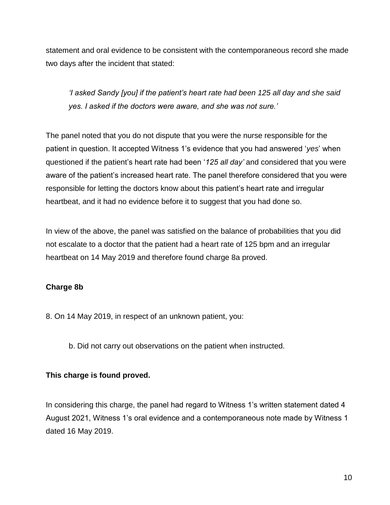statement and oral evidence to be consistent with the contemporaneous record she made two days after the incident that stated:

*'I asked Sandy [you] if the patient's heart rate had been 125 all day and she said yes. I asked if the doctors were aware, and she was not sure.'*

The panel noted that you do not dispute that you were the nurse responsible for the patient in question. It accepted Witness 1's evidence that you had answered '*yes*' when questioned if the patient's heart rate had been '*125 all day'* and considered that you were aware of the patient's increased heart rate. The panel therefore considered that you were responsible for letting the doctors know about this patient's heart rate and irregular heartbeat, and it had no evidence before it to suggest that you had done so.

In view of the above, the panel was satisfied on the balance of probabilities that you did not escalate to a doctor that the patient had a heart rate of 125 bpm and an irregular heartbeat on 14 May 2019 and therefore found charge 8a proved.

### **Charge 8b**

- 8. On 14 May 2019, in respect of an unknown patient, you:
	- b. Did not carry out observations on the patient when instructed.

### **This charge is found proved.**

In considering this charge, the panel had regard to Witness 1's written statement dated 4 August 2021, Witness 1's oral evidence and a contemporaneous note made by Witness 1 dated 16 May 2019.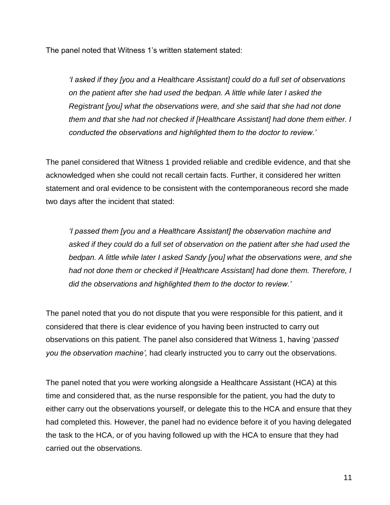The panel noted that Witness 1's written statement stated:

*'I asked if they [you and a Healthcare Assistant] could do a full set of observations on the patient after she had used the bedpan. A little while later I asked the Registrant [you] what the observations were, and she said that she had not done them and that she had not checked if [Healthcare Assistant] had done them either. I conducted the observations and highlighted them to the doctor to review.'*

The panel considered that Witness 1 provided reliable and credible evidence, and that she acknowledged when she could not recall certain facts. Further, it considered her written statement and oral evidence to be consistent with the contemporaneous record she made two days after the incident that stated:

*'I passed them [you and a Healthcare Assistant] the observation machine and asked if they could do a full set of observation on the patient after she had used the bedpan. A little while later I asked Sandy [you] what the observations were, and she had not done them or checked if [Healthcare Assistant] had done them. Therefore, I did the observations and highlighted them to the doctor to review.'*

The panel noted that you do not dispute that you were responsible for this patient, and it considered that there is clear evidence of you having been instructed to carry out observations on this patient. The panel also considered that Witness 1, having '*passed you the observation machine',* had clearly instructed you to carry out the observations.

The panel noted that you were working alongside a Healthcare Assistant (HCA) at this time and considered that, as the nurse responsible for the patient, you had the duty to either carry out the observations yourself, or delegate this to the HCA and ensure that they had completed this. However, the panel had no evidence before it of you having delegated the task to the HCA, or of you having followed up with the HCA to ensure that they had carried out the observations.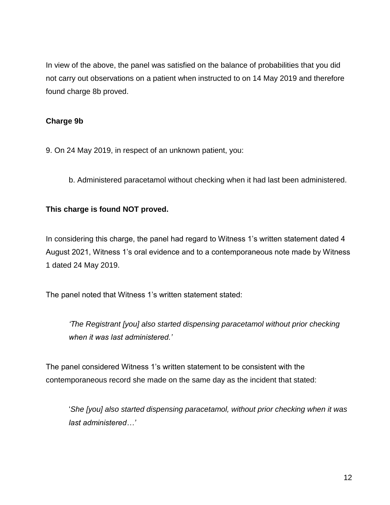In view of the above, the panel was satisfied on the balance of probabilities that you did not carry out observations on a patient when instructed to on 14 May 2019 and therefore found charge 8b proved.

## **Charge 9b**

9. On 24 May 2019, in respect of an unknown patient, you:

b. Administered paracetamol without checking when it had last been administered.

#### **This charge is found NOT proved.**

In considering this charge, the panel had regard to Witness 1's written statement dated 4 August 2021, Witness 1's oral evidence and to a contemporaneous note made by Witness 1 dated 24 May 2019.

The panel noted that Witness 1's written statement stated:

*'The Registrant [you] also started dispensing paracetamol without prior checking when it was last administered.'*

The panel considered Witness 1's written statement to be consistent with the contemporaneous record she made on the same day as the incident that stated:

'*She [you] also started dispensing paracetamol, without prior checking when it was last administered…'*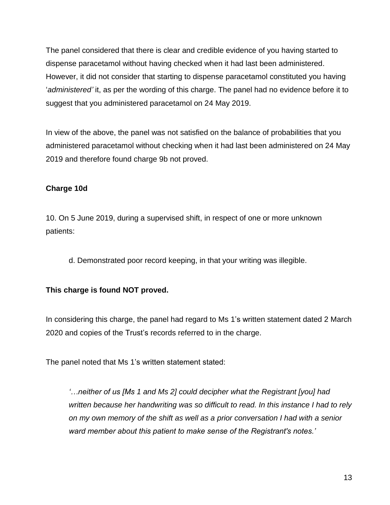The panel considered that there is clear and credible evidence of you having started to dispense paracetamol without having checked when it had last been administered. However, it did not consider that starting to dispense paracetamol constituted you having '*administered'* it, as per the wording of this charge. The panel had no evidence before it to suggest that you administered paracetamol on 24 May 2019.

In view of the above, the panel was not satisfied on the balance of probabilities that you administered paracetamol without checking when it had last been administered on 24 May 2019 and therefore found charge 9b not proved.

## **Charge 10d**

10. On 5 June 2019, during a supervised shift, in respect of one or more unknown patients:

d. Demonstrated poor record keeping, in that your writing was illegible.

### **This charge is found NOT proved.**

In considering this charge, the panel had regard to Ms 1's written statement dated 2 March 2020 and copies of the Trust's records referred to in the charge.

The panel noted that Ms 1's written statement stated:

*'…neither of us [Ms 1 and Ms 2] could decipher what the Registrant [you] had written because her handwriting was so difficult to read. In this instance I had to rely on my own memory of the shift as well as a prior conversation I had with a senior ward member about this patient to make sense of the Registrant's notes.'*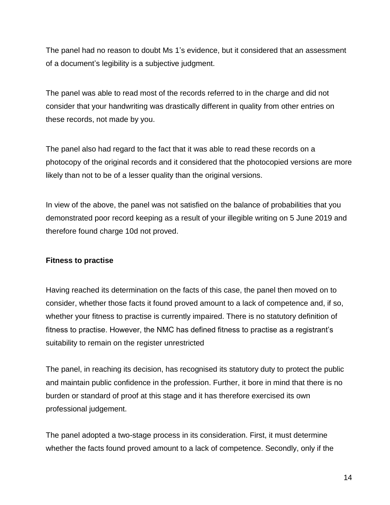The panel had no reason to doubt Ms 1's evidence, but it considered that an assessment of a document's legibility is a subjective judgment.

The panel was able to read most of the records referred to in the charge and did not consider that your handwriting was drastically different in quality from other entries on these records, not made by you.

The panel also had regard to the fact that it was able to read these records on a photocopy of the original records and it considered that the photocopied versions are more likely than not to be of a lesser quality than the original versions.

In view of the above, the panel was not satisfied on the balance of probabilities that you demonstrated poor record keeping as a result of your illegible writing on 5 June 2019 and therefore found charge 10d not proved.

### **Fitness to practise**

Having reached its determination on the facts of this case, the panel then moved on to consider, whether those facts it found proved amount to a lack of competence and, if so, whether your fitness to practise is currently impaired. There is no statutory definition of fitness to practise. However, the NMC has defined fitness to practise as a registrant's suitability to remain on the register unrestricted

The panel, in reaching its decision, has recognised its statutory duty to protect the public and maintain public confidence in the profession. Further, it bore in mind that there is no burden or standard of proof at this stage and it has therefore exercised its own professional judgement.

The panel adopted a two-stage process in its consideration. First, it must determine whether the facts found proved amount to a lack of competence. Secondly, only if the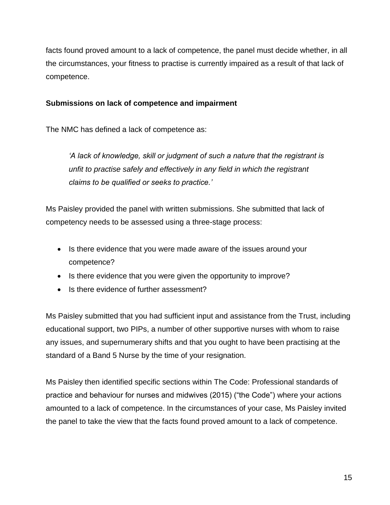facts found proved amount to a lack of competence, the panel must decide whether, in all the circumstances, your fitness to practise is currently impaired as a result of that lack of competence.

### **Submissions on lack of competence and impairment**

The NMC has defined a lack of competence as:

*'A lack of knowledge, skill or judgment of such a nature that the registrant is unfit to practise safely and effectively in any field in which the registrant claims to be qualified or seeks to practice.'*

Ms Paisley provided the panel with written submissions. She submitted that lack of competency needs to be assessed using a three-stage process:

- Is there evidence that you were made aware of the issues around your competence?
- Is there evidence that you were given the opportunity to improve?
- Is there evidence of further assessment?

Ms Paisley submitted that you had sufficient input and assistance from the Trust, including educational support, two PIPs, a number of other supportive nurses with whom to raise any issues, and supernumerary shifts and that you ought to have been practising at the standard of a Band 5 Nurse by the time of your resignation.

Ms Paisley then identified specific sections within The Code: Professional standards of practice and behaviour for nurses and midwives (2015) ("the Code") where your actions amounted to a lack of competence. In the circumstances of your case, Ms Paisley invited the panel to take the view that the facts found proved amount to a lack of competence.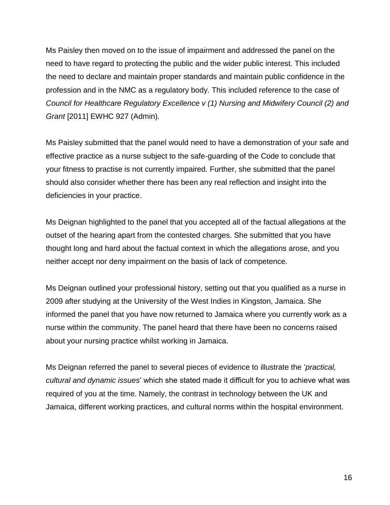Ms Paisley then moved on to the issue of impairment and addressed the panel on the need to have regard to protecting the public and the wider public interest. This included the need to declare and maintain proper standards and maintain public confidence in the profession and in the NMC as a regulatory body. This included reference to the case of *Council for Healthcare Regulatory Excellence v (1) Nursing and Midwifery Council (2) and Grant* [2011] EWHC 927 (Admin)*.* 

Ms Paisley submitted that the panel would need to have a demonstration of your safe and effective practice as a nurse subject to the safe-guarding of the Code to conclude that your fitness to practise is not currently impaired. Further, she submitted that the panel should also consider whether there has been any real reflection and insight into the deficiencies in your practice.

Ms Deignan highlighted to the panel that you accepted all of the factual allegations at the outset of the hearing apart from the contested charges. She submitted that you have thought long and hard about the factual context in which the allegations arose, and you neither accept nor deny impairment on the basis of lack of competence.

Ms Deignan outlined your professional history, setting out that you qualified as a nurse in 2009 after studying at the University of the West Indies in Kingston, Jamaica. She informed the panel that you have now returned to Jamaica where you currently work as a nurse within the community. The panel heard that there have been no concerns raised about your nursing practice whilst working in Jamaica.

Ms Deignan referred the panel to several pieces of evidence to illustrate the '*practical, cultural and dynamic issues*' which she stated made it difficult for you to achieve what was required of you at the time. Namely, the contrast in technology between the UK and Jamaica, different working practices, and cultural norms within the hospital environment.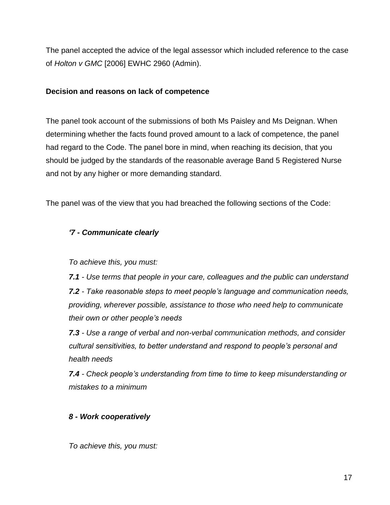The panel accepted the advice of the legal assessor which included reference to the case of *Holton v GMC* [2006] EWHC 2960 (Admin).

#### **Decision and reasons on lack of competence**

The panel took account of the submissions of both Ms Paisley and Ms Deignan. When determining whether the facts found proved amount to a lack of competence, the panel had regard to the Code. The panel bore in mind, when reaching its decision, that you should be judged by the standards of the reasonable average Band 5 Registered Nurse and not by any higher or more demanding standard.

The panel was of the view that you had breached the following sections of the Code:

# *'7 - Communicate clearly*

*To achieve this, you must:*

*7.1 - Use terms that people in your care, colleagues and the public can understand 7.2 - Take reasonable steps to meet people's language and communication needs, providing, wherever possible, assistance to those who need help to communicate their own or other people's needs*

*7.3 - Use a range of verbal and non-verbal communication methods, and consider cultural sensitivities, to better understand and respond to people's personal and health needs*

*7.4 - Check people's understanding from time to time to keep misunderstanding or mistakes to a minimum*

# *8 - Work cooperatively*

*To achieve this, you must:*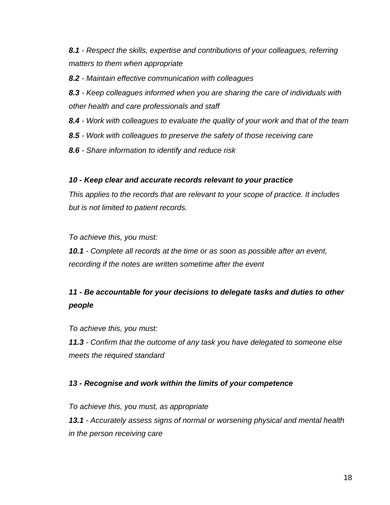*8.1 - Respect the skills, expertise and contributions of your colleagues, referring matters to them when appropriate*

*8.2 - Maintain effective communication with colleagues*

*8.3 - Keep colleagues informed when you are sharing the care of individuals with other health and care professionals and staff*

*8.4 - Work with colleagues to evaluate the quality of your work and that of the team*

*8.5 - Work with colleagues to preserve the safety of those receiving care*

*8.6 - Share information to identify and reduce risk*

#### *10 - Keep clear and accurate records relevant to your practice*

*This applies to the records that are relevant to your scope of practice. It includes but is not limited to patient records.*

*To achieve this, you must:*

*10.1 - Complete all records at the time or as soon as possible after an event, recording if the notes are written sometime after the event*

# *11 - Be accountable for your decisions to delegate tasks and duties to other people*

*To achieve this, you must:*

*11.3 - Confirm that the outcome of any task you have delegated to someone else meets the required standard*

### *13 - Recognise and work within the limits of your competence*

*To achieve this, you must, as appropriate 13.1 - Accurately assess signs of normal or worsening physical and mental health in the person receiving care*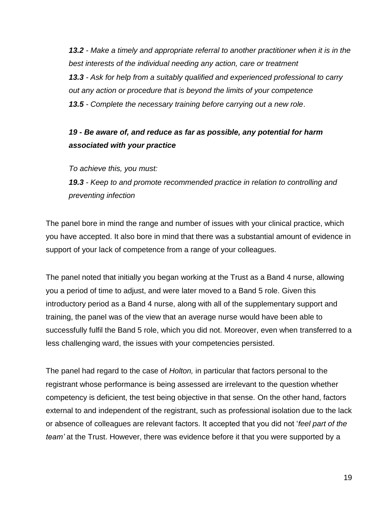*13.2 - Make a timely and appropriate referral to another practitioner when it is in the best interests of the individual needing any action, care or treatment 13.3 - Ask for help from a suitably qualified and experienced professional to carry out any action or procedure that is beyond the limits of your competence 13.5 - Complete the necessary training before carrying out a new role*.

# *19 - Be aware of, and reduce as far as possible, any potential for harm associated with your practice*

*To achieve this, you must:*

*19.3 - Keep to and promote recommended practice in relation to controlling and preventing infection*

The panel bore in mind the range and number of issues with your clinical practice, which you have accepted. It also bore in mind that there was a substantial amount of evidence in support of your lack of competence from a range of your colleagues.

The panel noted that initially you began working at the Trust as a Band 4 nurse, allowing you a period of time to adjust, and were later moved to a Band 5 role. Given this introductory period as a Band 4 nurse, along with all of the supplementary support and training, the panel was of the view that an average nurse would have been able to successfully fulfil the Band 5 role, which you did not. Moreover, even when transferred to a less challenging ward, the issues with your competencies persisted.

The panel had regard to the case of *Holton,* in particular that factors personal to the registrant whose performance is being assessed are irrelevant to the question whether competency is deficient, the test being objective in that sense. On the other hand, factors external to and independent of the registrant, such as professional isolation due to the lack or absence of colleagues are relevant factors. It accepted that you did not '*feel part of the team'* at the Trust. However, there was evidence before it that you were supported by a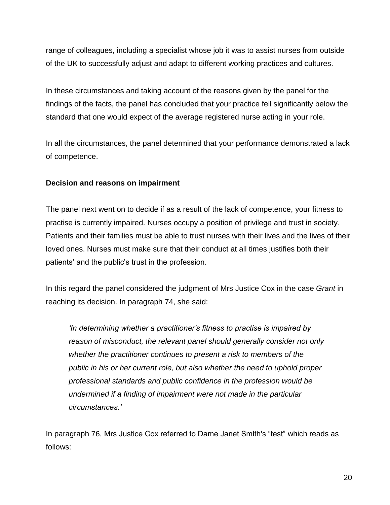range of colleagues, including a specialist whose job it was to assist nurses from outside of the UK to successfully adjust and adapt to different working practices and cultures.

In these circumstances and taking account of the reasons given by the panel for the findings of the facts, the panel has concluded that your practice fell significantly below the standard that one would expect of the average registered nurse acting in your role.

In all the circumstances, the panel determined that your performance demonstrated a lack of competence.

### **Decision and reasons on impairment**

The panel next went on to decide if as a result of the lack of competence, your fitness to practise is currently impaired. Nurses occupy a position of privilege and trust in society. Patients and their families must be able to trust nurses with their lives and the lives of their loved ones. Nurses must make sure that their conduct at all times justifies both their patients' and the public's trust in the profession.

In this regard the panel considered the judgment of Mrs Justice Cox in the case *Grant* in reaching its decision. In paragraph 74, she said:

*'In determining whether a practitioner's fitness to practise is impaired by reason of misconduct, the relevant panel should generally consider not only whether the practitioner continues to present a risk to members of the public in his or her current role, but also whether the need to uphold proper professional standards and public confidence in the profession would be undermined if a finding of impairment were not made in the particular circumstances.'*

In paragraph 76, Mrs Justice Cox referred to Dame Janet Smith's "test" which reads as follows: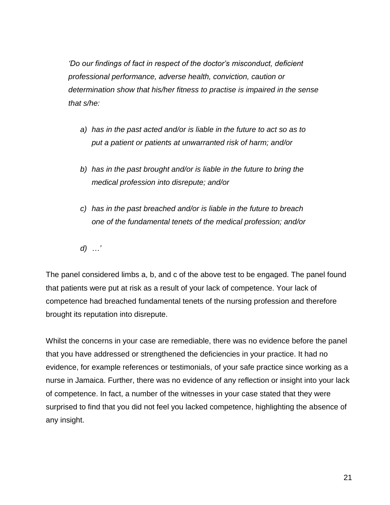*'Do our findings of fact in respect of the doctor's misconduct, deficient professional performance, adverse health, conviction, caution or determination show that his/her fitness to practise is impaired in the sense that s/he:*

- *a) has in the past acted and/or is liable in the future to act so as to put a patient or patients at unwarranted risk of harm; and/or*
- *b) has in the past brought and/or is liable in the future to bring the medical profession into disrepute; and/or*
- *c) has in the past breached and/or is liable in the future to breach one of the fundamental tenets of the medical profession; and/or*
- *d) …'*

The panel considered limbs a, b, and c of the above test to be engaged. The panel found that patients were put at risk as a result of your lack of competence. Your lack of competence had breached fundamental tenets of the nursing profession and therefore brought its reputation into disrepute.

Whilst the concerns in your case are remediable, there was no evidence before the panel that you have addressed or strengthened the deficiencies in your practice. It had no evidence, for example references or testimonials, of your safe practice since working as a nurse in Jamaica. Further, there was no evidence of any reflection or insight into your lack of competence. In fact, a number of the witnesses in your case stated that they were surprised to find that you did not feel you lacked competence, highlighting the absence of any insight.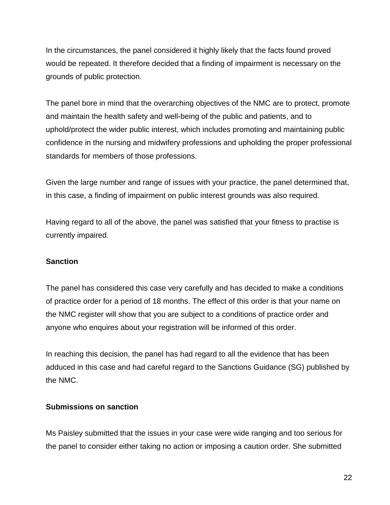In the circumstances, the panel considered it highly likely that the facts found proved would be repeated. It therefore decided that a finding of impairment is necessary on the grounds of public protection.

The panel bore in mind that the overarching objectives of the NMC are to protect, promote and maintain the health safety and well-being of the public and patients, and to uphold/protect the wider public interest, which includes promoting and maintaining public confidence in the nursing and midwifery professions and upholding the proper professional standards for members of those professions.

Given the large number and range of issues with your practice, the panel determined that, in this case, a finding of impairment on public interest grounds was also required.

Having regard to all of the above, the panel was satisfied that your fitness to practise is currently impaired.

### **Sanction**

The panel has considered this case very carefully and has decided to make a conditions of practice order for a period of 18 months. The effect of this order is that your name on the NMC register will show that you are subject to a conditions of practice order and anyone who enquires about your registration will be informed of this order.

In reaching this decision, the panel has had regard to all the evidence that has been adduced in this case and had careful regard to the Sanctions Guidance (SG) published by the NMC.

#### **Submissions on sanction**

Ms Paisley submitted that the issues in your case were wide ranging and too serious for the panel to consider either taking no action or imposing a caution order. She submitted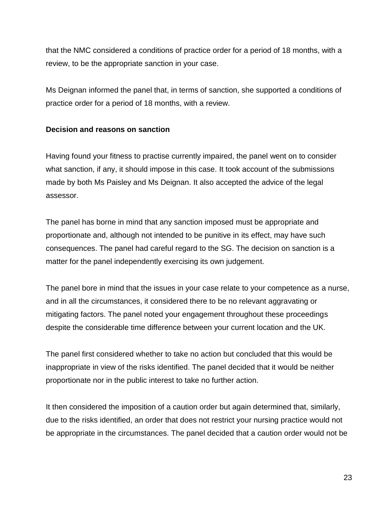that the NMC considered a conditions of practice order for a period of 18 months, with a review, to be the appropriate sanction in your case.

Ms Deignan informed the panel that, in terms of sanction, she supported a conditions of practice order for a period of 18 months, with a review.

#### **Decision and reasons on sanction**

Having found your fitness to practise currently impaired, the panel went on to consider what sanction, if any, it should impose in this case. It took account of the submissions made by both Ms Paisley and Ms Deignan. It also accepted the advice of the legal assessor.

The panel has borne in mind that any sanction imposed must be appropriate and proportionate and, although not intended to be punitive in its effect, may have such consequences. The panel had careful regard to the SG. The decision on sanction is a matter for the panel independently exercising its own judgement.

The panel bore in mind that the issues in your case relate to your competence as a nurse, and in all the circumstances, it considered there to be no relevant aggravating or mitigating factors. The panel noted your engagement throughout these proceedings despite the considerable time difference between your current location and the UK.

The panel first considered whether to take no action but concluded that this would be inappropriate in view of the risks identified. The panel decided that it would be neither proportionate nor in the public interest to take no further action.

It then considered the imposition of a caution order but again determined that, similarly, due to the risks identified, an order that does not restrict your nursing practice would not be appropriate in the circumstances. The panel decided that a caution order would not be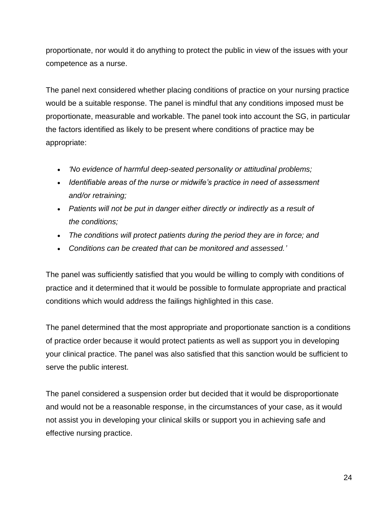proportionate, nor would it do anything to protect the public in view of the issues with your competence as a nurse.

The panel next considered whether placing conditions of practice on your nursing practice would be a suitable response. The panel is mindful that any conditions imposed must be proportionate, measurable and workable. The panel took into account the SG, in particular the factors identified as likely to be present where conditions of practice may be appropriate:

- *'No evidence of harmful deep-seated personality or attitudinal problems;*
- *Identifiable areas of the nurse or midwife's practice in need of assessment and/or retraining;*
- *Patients will not be put in danger either directly or indirectly as a result of the conditions;*
- *The conditions will protect patients during the period they are in force; and*
- *Conditions can be created that can be monitored and assessed.'*

The panel was sufficiently satisfied that you would be willing to comply with conditions of practice and it determined that it would be possible to formulate appropriate and practical conditions which would address the failings highlighted in this case.

The panel determined that the most appropriate and proportionate sanction is a conditions of practice order because it would protect patients as well as support you in developing your clinical practice. The panel was also satisfied that this sanction would be sufficient to serve the public interest.

The panel considered a suspension order but decided that it would be disproportionate and would not be a reasonable response, in the circumstances of your case, as it would not assist you in developing your clinical skills or support you in achieving safe and effective nursing practice.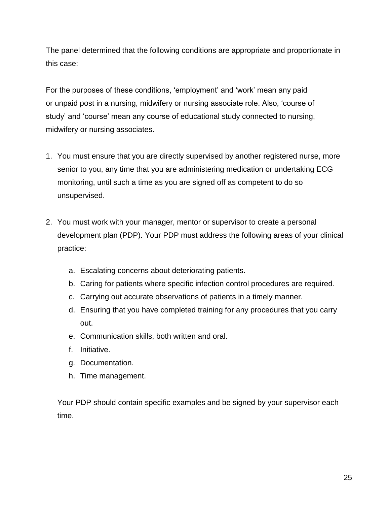The panel determined that the following conditions are appropriate and proportionate in this case:

For the purposes of these conditions, 'employment' and 'work' mean any paid or unpaid post in a nursing, midwifery or nursing associate role. Also, 'course of study' and 'course' mean any course of educational study connected to nursing, midwifery or nursing associates.

- 1. You must ensure that you are directly supervised by another registered nurse, more senior to you, any time that you are administering medication or undertaking ECG monitoring, until such a time as you are signed off as competent to do so unsupervised.
- 2. You must work with your manager, mentor or supervisor to create a personal development plan (PDP). Your PDP must address the following areas of your clinical practice:
	- a. Escalating concerns about deteriorating patients.
	- b. Caring for patients where specific infection control procedures are required.
	- c. Carrying out accurate observations of patients in a timely manner.
	- d. Ensuring that you have completed training for any procedures that you carry out.
	- e. Communication skills, both written and oral.
	- f. Initiative.
	- g. Documentation.
	- h. Time management.

Your PDP should contain specific examples and be signed by your supervisor each time.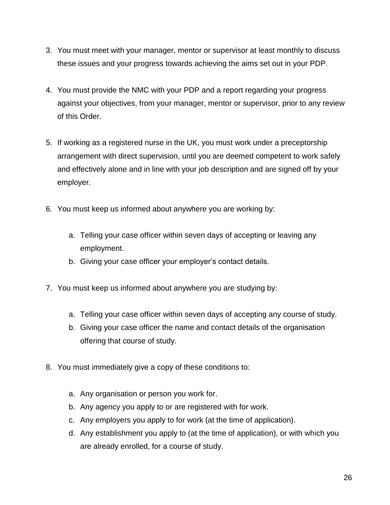- 3. You must meet with your manager, mentor or supervisor at least monthly to discuss these issues and your progress towards achieving the aims set out in your PDP.
- 4. You must provide the NMC with your PDP and a report regarding your progress against your objectives, from your manager, mentor or supervisor, prior to any review of this Order.
- 5. If working as a registered nurse in the UK, you must work under a preceptorship arrangement with direct supervision, until you are deemed competent to work safely and effectively alone and in line with your job description and are signed off by your employer.
- 6. You must keep us informed about anywhere you are working by:
	- a. Telling your case officer within seven days of accepting or leaving any employment.
	- b. Giving your case officer your employer's contact details.
- 7. You must keep us informed about anywhere you are studying by:
	- a. Telling your case officer within seven days of accepting any course of study.
	- b. Giving your case officer the name and contact details of the organisation offering that course of study.
- 8. You must immediately give a copy of these conditions to:
	- a. Any organisation or person you work for.
	- b. Any agency you apply to or are registered with for work.
	- c. Any employers you apply to for work (at the time of application).
	- d. Any establishment you apply to (at the time of application), or with which you are already enrolled, for a course of study.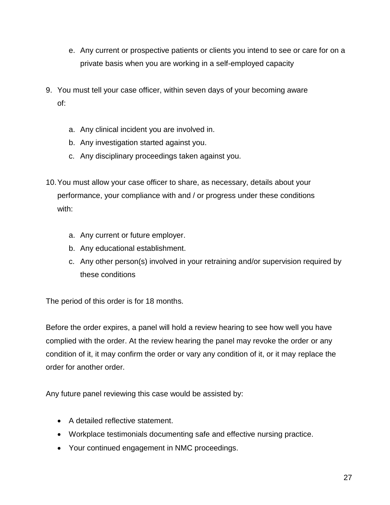- e. Any current or prospective patients or clients you intend to see or care for on a private basis when you are working in a self-employed capacity
- 9. You must tell your case officer, within seven days of your becoming aware of:
	- a. Any clinical incident you are involved in.
	- b. Any investigation started against you.
	- c. Any disciplinary proceedings taken against you.
- 10.You must allow your case officer to share, as necessary, details about your performance, your compliance with and / or progress under these conditions with:
	- a. Any current or future employer.
	- b. Any educational establishment.
	- c. Any other person(s) involved in your retraining and/or supervision required by these conditions

The period of this order is for 18 months.

Before the order expires, a panel will hold a review hearing to see how well you have complied with the order. At the review hearing the panel may revoke the order or any condition of it, it may confirm the order or vary any condition of it, or it may replace the order for another order.

Any future panel reviewing this case would be assisted by:

- A detailed reflective statement.
- Workplace testimonials documenting safe and effective nursing practice.
- Your continued engagement in NMC proceedings.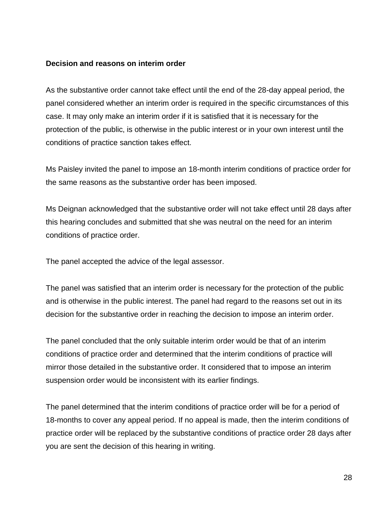#### **Decision and reasons on interim order**

As the substantive order cannot take effect until the end of the 28-day appeal period, the panel considered whether an interim order is required in the specific circumstances of this case. It may only make an interim order if it is satisfied that it is necessary for the protection of the public, is otherwise in the public interest or in your own interest until the conditions of practice sanction takes effect.

Ms Paisley invited the panel to impose an 18-month interim conditions of practice order for the same reasons as the substantive order has been imposed.

Ms Deignan acknowledged that the substantive order will not take effect until 28 days after this hearing concludes and submitted that she was neutral on the need for an interim conditions of practice order.

The panel accepted the advice of the legal assessor.

The panel was satisfied that an interim order is necessary for the protection of the public and is otherwise in the public interest. The panel had regard to the reasons set out in its decision for the substantive order in reaching the decision to impose an interim order.

The panel concluded that the only suitable interim order would be that of an interim conditions of practice order and determined that the interim conditions of practice will mirror those detailed in the substantive order. It considered that to impose an interim suspension order would be inconsistent with its earlier findings.

The panel determined that the interim conditions of practice order will be for a period of 18-months to cover any appeal period. If no appeal is made, then the interim conditions of practice order will be replaced by the substantive conditions of practice order 28 days after you are sent the decision of this hearing in writing.